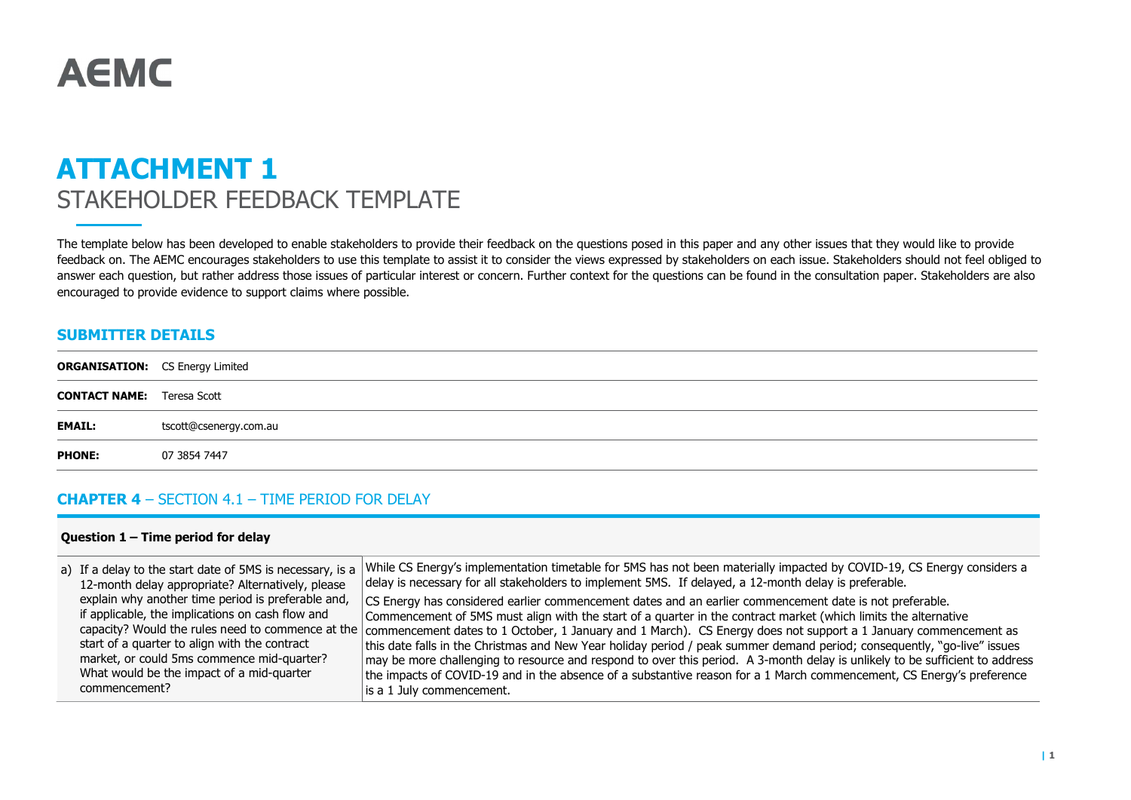# **AEMC**

# ATTACHMENT 1 STAKEHOLDER FEEDBACK TEMPLATE

The template below has been developed to enable stakeholders to provide their feedback on the questions posed in this paper and any other issues that they would like to provide feedback on. The AEMC encourages stakeholders to use this template to assist it to consider the views expressed by stakeholders on each issue. Stakeholders should not feel obliged to answer each question, but rather address those issues of particular interest or concern. Further context for the questions can be found in the consultation paper. Stakeholders are also encouraged to provide evidence to support claims where possible.

#### SUBMITTER DETAILS

| <b>CONTACT NAME:</b> Teresa Scott |                        |
|-----------------------------------|------------------------|
| <b>EMAIL:</b>                     | tscott@csenergy.com.au |
| <b>PHONE:</b>                     | 07 3854 7447           |

### CHAPTER 4 – SECTION 4.1 – TIME PERIOD FOR DELAY

#### Question 1 – Time period for delay

| 12-month delay appropriate? Alternatively, please  | a) If a delay to the start date of 5MS is necessary, is a While CS Energy's implementation timetable for 5MS has not been materially impacted by COVID-19, CS Energy considers a<br>delay is necessary for all stakeholders to implement 5MS. If delayed, a 12-month delay is preferable. |
|----------------------------------------------------|-------------------------------------------------------------------------------------------------------------------------------------------------------------------------------------------------------------------------------------------------------------------------------------------|
| explain why another time period is preferable and, | CS Energy has considered earlier commencement dates and an earlier commencement date is not preferable.                                                                                                                                                                                   |
| if applicable, the implications on cash flow and   | Commencement of 5MS must align with the start of a quarter in the contract market (which limits the alternative                                                                                                                                                                           |
|                                                    | capacity? Would the rules need to commence at the commencement dates to 1 October, 1 January and 1 March). CS Energy does not support a 1 January commencement as                                                                                                                         |
| start of a quarter to align with the contract      | this date falls in the Christmas and New Year holiday period / peak summer demand period; consequently, "go-live" issues                                                                                                                                                                  |
| market, or could 5ms commence mid-quarter?         | may be more challenging to resource and respond to over this period. A 3-month delay is unlikely to be sufficient to address                                                                                                                                                              |
| What would be the impact of a mid-quarter          | the impacts of COVID-19 and in the absence of a substantive reason for a 1 March commencement, CS Energy's preference                                                                                                                                                                     |
| commencement?                                      | is a 1 July commencement.                                                                                                                                                                                                                                                                 |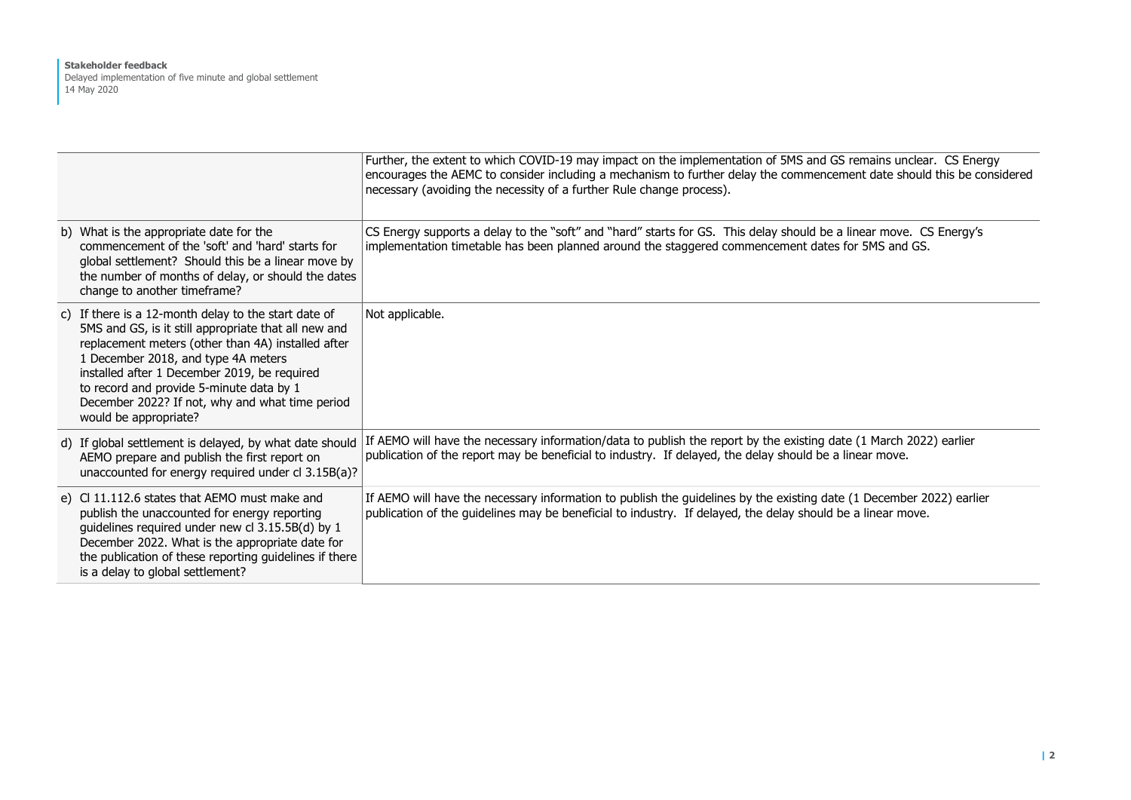#### Stakeholder feedback Delayed implementation of five minute and global settlement 14 May 2020

|                                                                                                                                                                                                                                                                                                                                                                                   | Further, the extent to which COVID-19 may impact on the implementation of 5MS and GS remains unclear. CS Energy<br>encourages the AEMC to consider including a mechanism to further delay the commencement date should this be considered<br>necessary (avoiding the necessity of a further Rule change process). |
|-----------------------------------------------------------------------------------------------------------------------------------------------------------------------------------------------------------------------------------------------------------------------------------------------------------------------------------------------------------------------------------|-------------------------------------------------------------------------------------------------------------------------------------------------------------------------------------------------------------------------------------------------------------------------------------------------------------------|
| b) What is the appropriate date for the<br>commencement of the 'soft' and 'hard' starts for<br>global settlement? Should this be a linear move by<br>the number of months of delay, or should the dates<br>change to another timeframe?                                                                                                                                           | CS Energy supports a delay to the "soft" and "hard" starts for GS. This delay should be a linear move. CS Energy's<br>implementation timetable has been planned around the staggered commencement dates for 5MS and GS.                                                                                           |
| c) If there is a 12-month delay to the start date of<br>5MS and GS, is it still appropriate that all new and<br>replacement meters (other than 4A) installed after<br>1 December 2018, and type 4A meters<br>installed after 1 December 2019, be required<br>to record and provide 5-minute data by 1<br>December 2022? If not, why and what time period<br>would be appropriate? | Not applicable.                                                                                                                                                                                                                                                                                                   |
| d) If global settlement is delayed, by what date should<br>AEMO prepare and publish the first report on<br>unaccounted for energy required under cl 3.15B(a)?                                                                                                                                                                                                                     | If AEMO will have the necessary information/data to publish the report by the existing date (1 March 2022) earlier<br>publication of the report may be beneficial to industry. If delayed, the delay should be a linear move.                                                                                     |
| e) CI 11.112.6 states that AEMO must make and<br>publish the unaccounted for energy reporting<br>guidelines required under new cl 3.15.5B(d) by 1<br>December 2022. What is the appropriate date for<br>the publication of these reporting guidelines if there<br>is a delay to global settlement?                                                                                | If AEMO will have the necessary information to publish the guidelines by the existing date (1 December 2022) earlier<br>publication of the guidelines may be beneficial to industry. If delayed, the delay should be a linear move.                                                                               |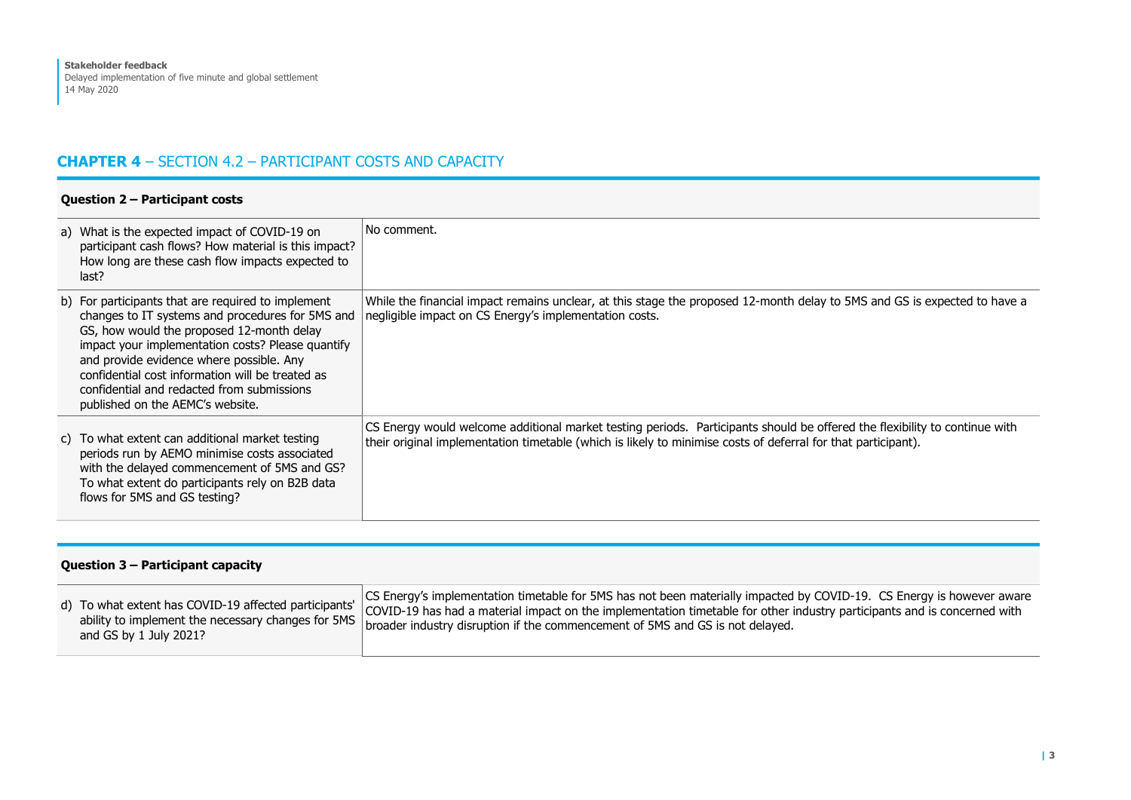# CHAPTER 4 – SECTION 4.2 – PARTICIPANT COSTS AND CAPACITY

#### Question 2 – Participant costs a) What is the expected impact of COVID-19 on participant cash flows? How material is this impact? How long are these cash flow impacts expected to last? No comment. b) For participants that are required to implement changes to IT systems and procedures for 5MS and negligible impact on CS Energy's implementation costs. GS, how would the proposed 12-month delay impact your implementation costs? Please quantify and provide evidence where possible. Any confidential cost information will be treated as confidential and redacted from submissions published on the AEMC's website. While the financial impact remains unclear, at this stage the proposed 12-month delay to 5MS and GS is expected to have a c) To what extent can additional market testing periods run by AEMO minimise costs associated with the delayed commencement of 5MS and GS? To what extent do participants rely on B2B data flows for 5MS and GS testing? CS Energy would welcome additional market testing periods. Participants should be offered the flexibility to continue with their original implementation timetable (which is likely to minimise costs of deferral for that participant).

| Question 3 – Participant capacity                     |                                                                                                                          |  |  |  |
|-------------------------------------------------------|--------------------------------------------------------------------------------------------------------------------------|--|--|--|
| d) To what extent has COVID-19 affected participants' | CS Energy's implementation timetable for 5MS has not been materially impacted by COVID-19. CS Energy is however aware    |  |  |  |
| ability to implement the necessary changes for 5MS    | COVID-19 has had a material impact on the implementation timetable for other industry participants and is concerned with |  |  |  |
| and GS by 1 July 2021?                                | broader industry disruption if the commencement of 5MS and GS is not delayed.                                            |  |  |  |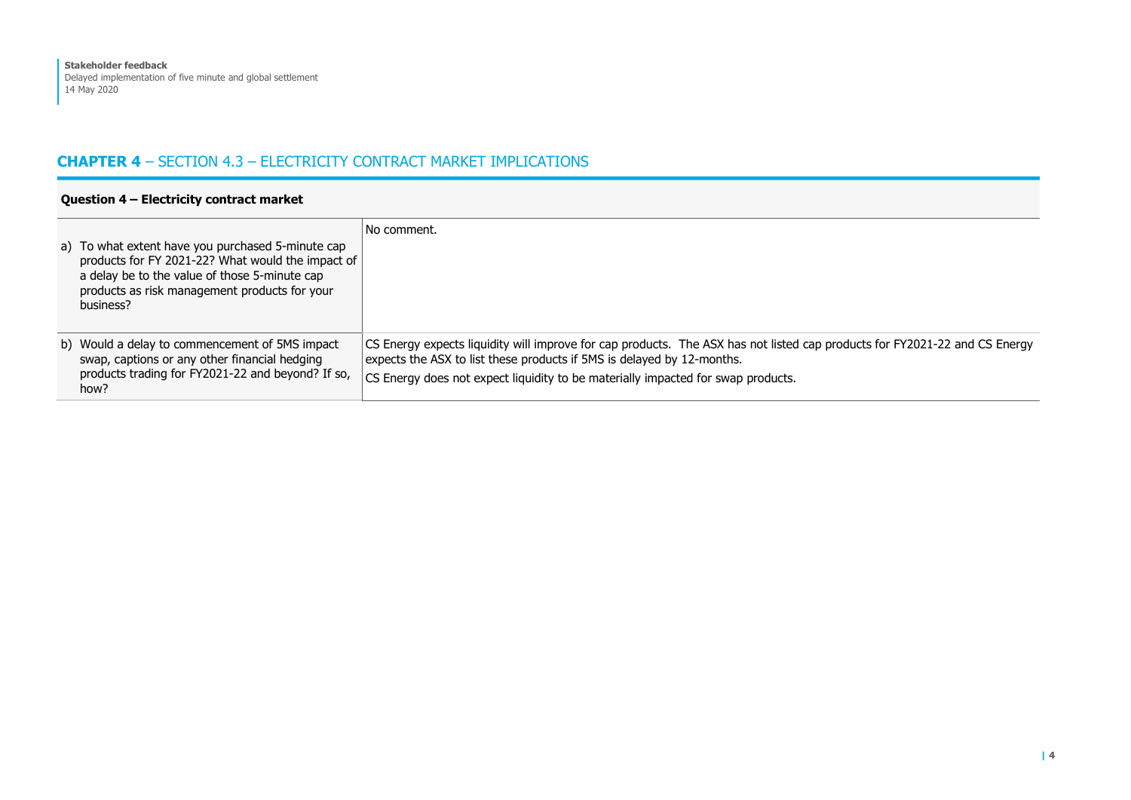# CHAPTER 4 – SECTION 4.3 – ELECTRICITY CONTRACT MARKET IMPLICATIONS

#### Question 4 – Electricity contract market a) To what extent have you purchased 5-minute cap products for FY 2021-22? What would the impact of a delay be to the value of those 5-minute cap products as risk management products for your business? No comment. b) Would a delay to commencement of 5MS impact swap, captions or any other financial hedging products trading for FY2021-22 and beyond? If so, how? CS Energy expects liquidity will improve for cap products. The ASX has not listed cap products for FY2021-22 and CS Energy expects the ASX to list these products if 5MS is delayed by 12-months. CS Energy does not expect liquidity to be materially impacted for swap products.

#### | 4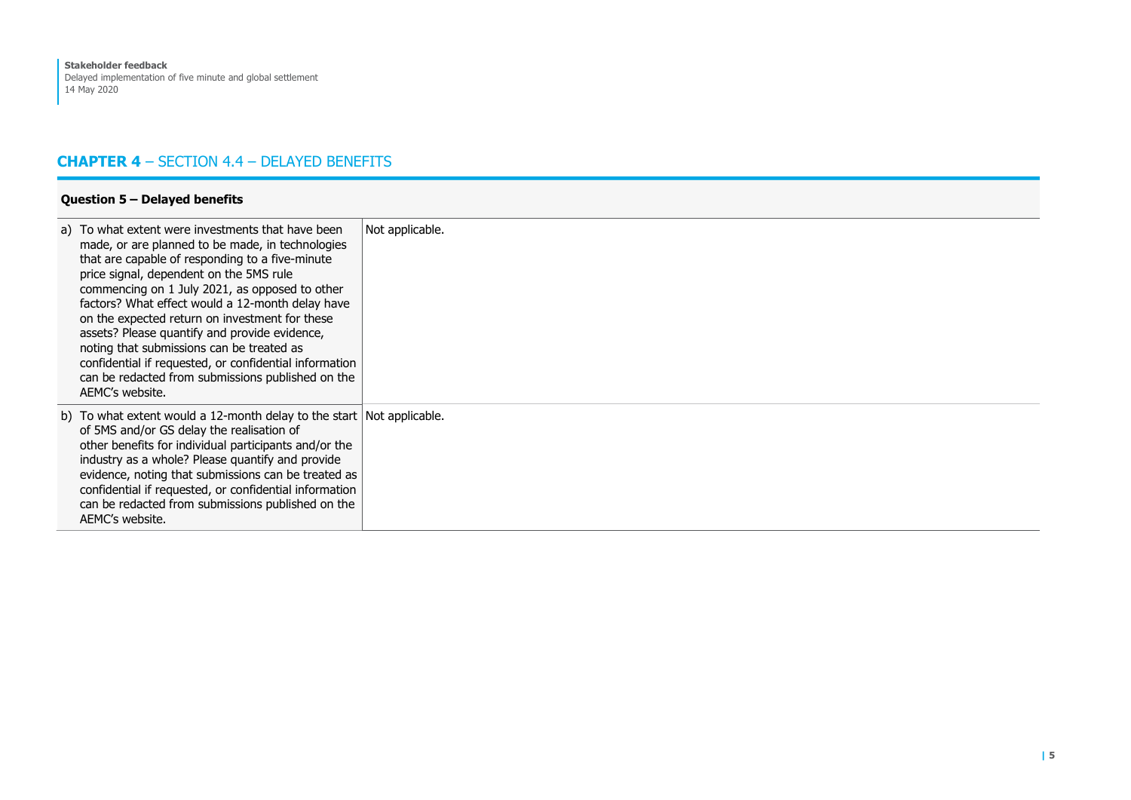# CHAPTER 4 – SECTION 4.4 – DELAYED BENEFITS

#### Question 5 – Delayed benefits

| a) To what extent were investments that have been<br>made, or are planned to be made, in technologies<br>that are capable of responding to a five-minute<br>price signal, dependent on the 5MS rule<br>commencing on 1 July 2021, as opposed to other<br>factors? What effect would a 12-month delay have<br>on the expected return on investment for these<br>assets? Please quantify and provide evidence,<br>noting that submissions can be treated as<br>confidential if requested, or confidential information<br>can be redacted from submissions published on the<br>AEMC's website. | Not applicable. |
|---------------------------------------------------------------------------------------------------------------------------------------------------------------------------------------------------------------------------------------------------------------------------------------------------------------------------------------------------------------------------------------------------------------------------------------------------------------------------------------------------------------------------------------------------------------------------------------------|-----------------|
| b) To what extent would a 12-month delay to the start $\vert$ Not applicable.<br>of 5MS and/or GS delay the realisation of<br>other benefits for individual participants and/or the<br>industry as a whole? Please quantify and provide<br>evidence, noting that submissions can be treated as<br>confidential if requested, or confidential information<br>can be redacted from submissions published on the<br>AEMC's website.                                                                                                                                                            |                 |